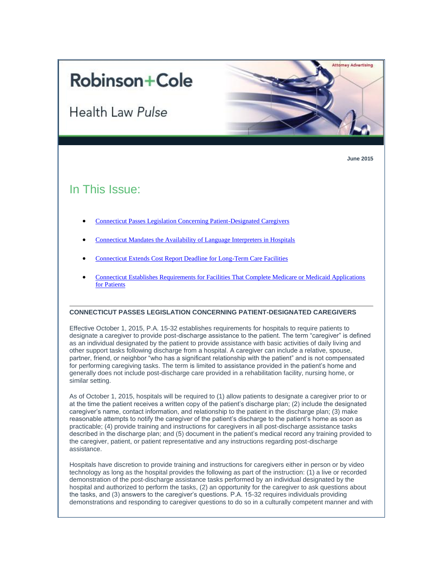# **Robinson+Cole**

**Health Law Pulse** 



<span id="page-0-0"></span>**June 2015**

# In This Issue:

- [Connecticut Passes Legislation Concerning Patient-Designated Caregivers](#page-0-0)
- [Connecticut Mandates the Availability of Language Interpreters in Hospitals](#page-1-0)
- [Connecticut Extends Cost Report Deadline for Long-Term Care Facilities](#page-1-1)
- [Connecticut Establishes Requirements for Facilities That Complete Medicare or Medicaid Applications](#page-1-2)  [for Patients](#page-1-2)

### **CONNECTICUT PASSES LEGISLATION CONCERNING PATIENT-DESIGNATED CAREGIVERS**

Effective October 1, 2015, P.A. 15-32 establishes requirements for hospitals to require patients to designate a caregiver to provide post-discharge assistance to the patient. The term "caregiver" is defined as an individual designated by the patient to provide assistance with basic activities of daily living and other support tasks following discharge from a hospital. A caregiver can include a relative, spouse, partner, friend, or neighbor "who has a significant relationship with the patient" and is not compensated for performing caregiving tasks. The term is limited to assistance provided in the patient's home and generally does not include post-discharge care provided in a rehabilitation facility, nursing home, or similar setting.

As of October 1, 2015, hospitals will be required to (1) allow patients to designate a caregiver prior to or at the time the patient receives a written copy of the patient's discharge plan; (2) include the designated caregiver's name, contact information, and relationship to the patient in the discharge plan; (3) make reasonable attempts to notify the caregiver of the patient's discharge to the patient's home as soon as practicable; (4) provide training and instructions for caregivers in all post-discharge assistance tasks described in the discharge plan; and (5) document in the patient's medical record any training provided to the caregiver, patient, or patient representative and any instructions regarding post-discharge assistance.

Hospitals have discretion to provide training and instructions for caregivers either in person or by video technology as long as the hospital provides the following as part of the instruction: (1) a live or recorded demonstration of the post-discharge assistance tasks performed by an individual designated by the hospital and authorized to perform the tasks, (2) an opportunity for the caregiver to ask questions about the tasks, and (3) answers to the caregiver's questions. P.A. 15-32 requires individuals providing demonstrations and responding to caregiver questions to do so in a culturally competent manner and with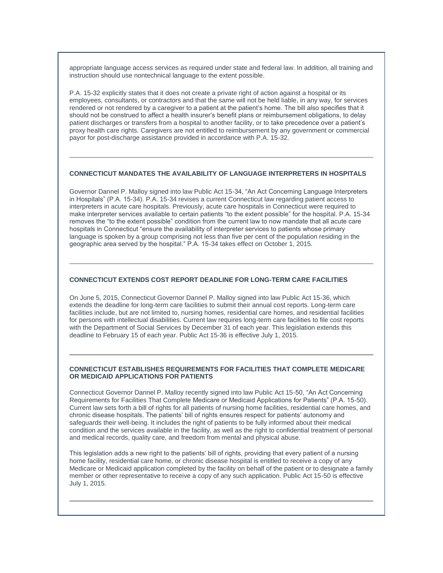appropriate language access services as required under state and federal law. In addition, all training and instruction should use nontechnical language to the extent possible.

P.A. 15-32 explicitly states that it does not create a private right of action against a hospital or its employees, consultants, or contractors and that the same will not be held liable, in any way, for services rendered or not rendered by a caregiver to a patient at the patient's home. The bill also specifies that it should not be construed to affect a health insurer's benefit plans or reimbursement obligations, to delay patient discharges or transfers from a hospital to another facility, or to take precedence over a patient's proxy health care rights. Caregivers are not entitled to reimbursement by any government or commercial payor for post-discharge assistance provided in accordance with P.A. 15-32.

#### <span id="page-1-0"></span>**CONNECTICUT MANDATES THE AVAILABILITY OF LANGUAGE INTERPRETERS IN HOSPITALS**

Governor Dannel P. Malloy signed into law Public Act 15-34, "An Act Concerning Language Interpreters in Hospitals" (P.A. 15-34). P.A. 15-34 revises a current Connecticut law regarding patient access to interpreters in acute care hospitals. Previously, acute care hospitals in Connecticut were required to make interpreter services available to certain patients "to the extent possible" for the hospital. P.A. 15-34 removes the "to the extent possible" condition from the current law to now mandate that all acute care hospitals in Connecticut "ensure the availability of interpreter services to patients whose primary language is spoken by a group comprising not less than five per cent of the population residing in the geographic area served by the hospital." P.A. 15-34 takes effect on October 1, 2015.

## <span id="page-1-1"></span>**CONNECTICUT EXTENDS COST REPORT DEADLINE FOR LONG-TERM CARE FACILITIES**

On June 5, 2015, Connecticut Governor Dannel P. Malloy signed into law Public Act 15-36, which extends the deadline for long-term care facilities to submit their annual cost reports. Long-term care facilities include, but are not limited to, nursing homes, residential care homes, and residential facilities for persons with intellectual disabilities. Current law requires long-term care facilities to file cost reports with the Department of Social Services by December 31 of each year. This legislation extends this deadline to February 15 of each year. Public Act 15-36 is effective July 1, 2015.

#### <span id="page-1-2"></span>**CONNECTICUT ESTABLISHES REQUIREMENTS FOR FACILITIES THAT COMPLETE MEDICARE OR MEDICAID APPLICATIONS FOR PATIENTS**

Connecticut Governor Dannel P. Malloy recently signed into law Public Act 15-50, "An Act Concerning Requirements for Facilities That Complete Medicare or Medicaid Applications for Patients" (P.A. 15-50). Current law sets forth a bill of rights for all patients of nursing home facilities, residential care homes, and chronic disease hospitals. The patients' bill of rights ensures respect for patients' autonomy and safeguards their well-being. It includes the right of patients to be fully informed about their medical condition and the services available in the facility, as well as the right to confidential treatment of personal and medical records, quality care, and freedom from mental and physical abuse.

This legislation adds a new right to the patients' bill of rights, providing that every patient of a nursing home facility, residential care home, or chronic disease hospital is entitled to receive a copy of any Medicare or Medicaid application completed by the facility on behalf of the patient or to designate a family member or other representative to receive a copy of any such application. Public Act 15-50 is effective July 1, 2015.